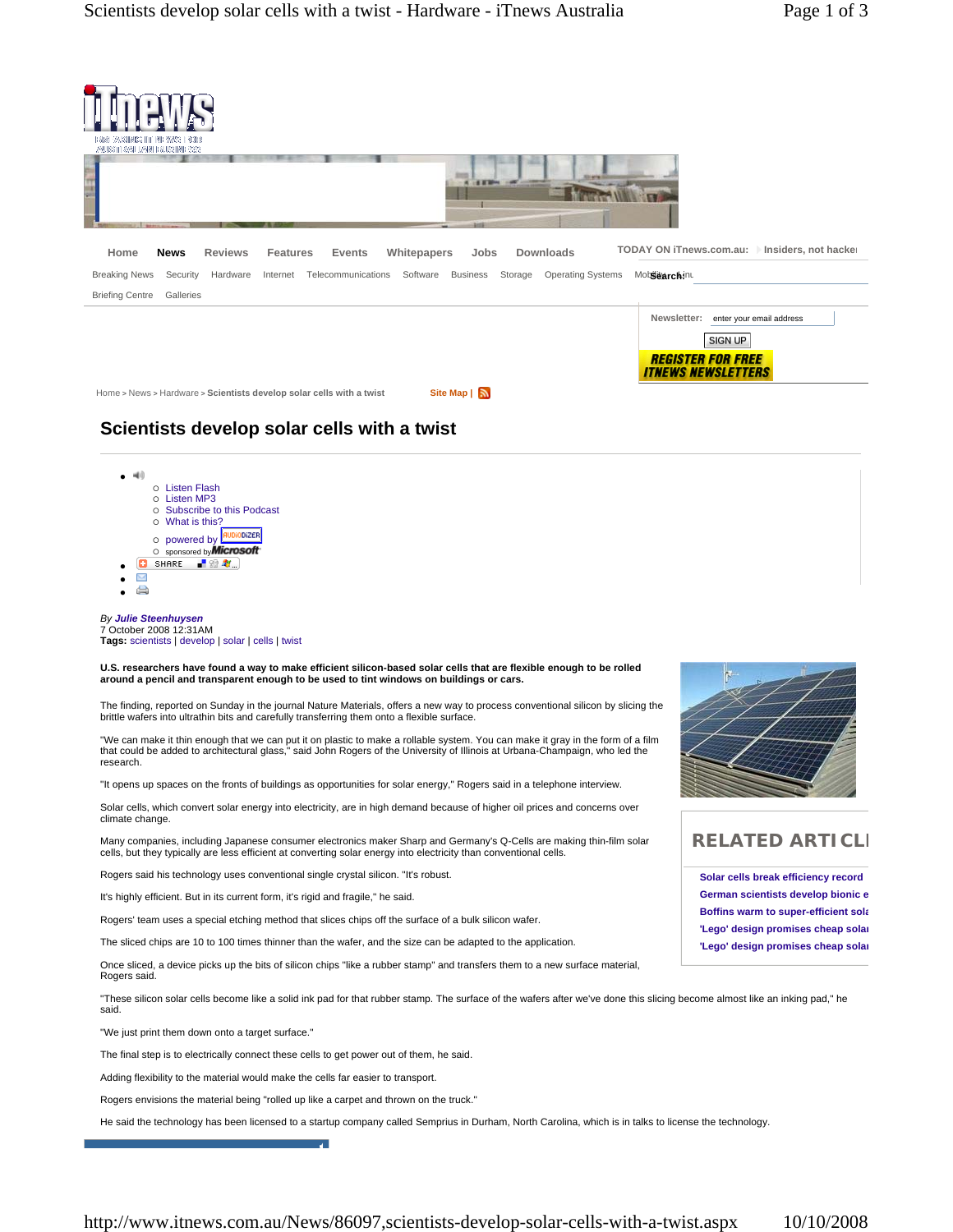

"We just print them down onto a target surface."

The final step is to electrically connect these cells to get power out of them, he said.

Adding flexibility to the material would make the cells far easier to transport.

Rogers envisions the material being "rolled up like a carpet and thrown on the truck."

He said the technology has been licensed to a startup company called Semprius in Durham, North Carolina, which is in talks to license the technology.

**German scientists develop bionic e Boffins warm to super-efficient sola 'Lego' design promises cheap solar 'Lego' design promises cheap solar**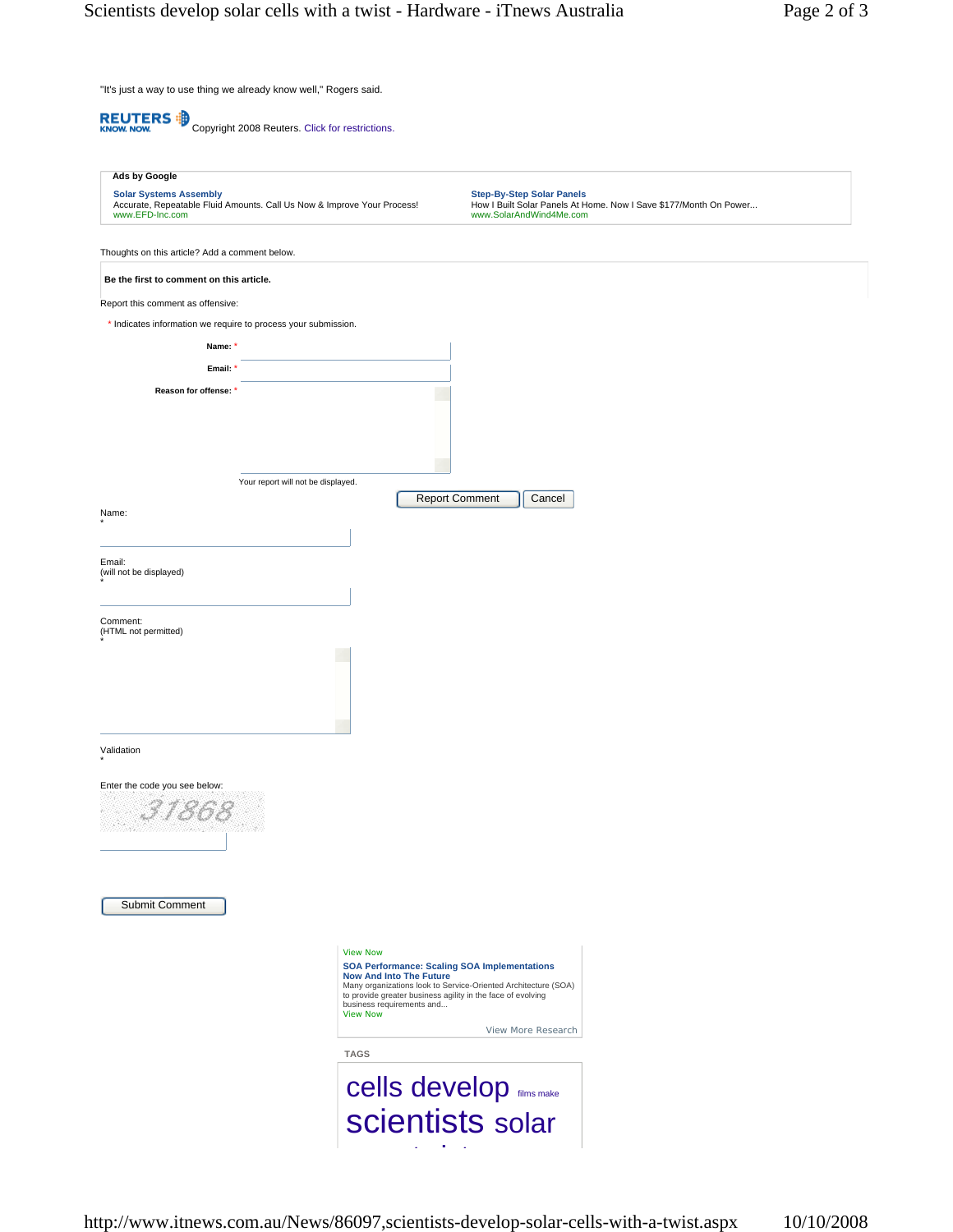| "It's just a way to use thing we already know well," Rogers said.                                                           |                                                                                               |                                                                                                                                  |
|-----------------------------------------------------------------------------------------------------------------------------|-----------------------------------------------------------------------------------------------|----------------------------------------------------------------------------------------------------------------------------------|
| KNOW. NOW                                                                                                                   | Copyright 2008 Reuters. Click for restrictions.                                               |                                                                                                                                  |
| Ads by Google                                                                                                               |                                                                                               |                                                                                                                                  |
| <b>Solar Systems Assembly</b><br>Accurate, Repeatable Fluid Amounts. Call Us Now & Improve Your Process!<br>www.EFD-Inc.com |                                                                                               | <b>Step-By-Step Solar Panels</b><br>How I Built Solar Panels At Home. Now I Save \$177/Month On Power<br>www.SolarAndWind4Me.com |
| Thoughts on this article? Add a comment below.                                                                              |                                                                                               |                                                                                                                                  |
| Be the first to comment on this article.                                                                                    |                                                                                               |                                                                                                                                  |
| Report this comment as offensive:                                                                                           |                                                                                               |                                                                                                                                  |
| * Indicates information we require to process your submission.                                                              |                                                                                               |                                                                                                                                  |
| Name:                                                                                                                       |                                                                                               |                                                                                                                                  |
| Email:                                                                                                                      |                                                                                               |                                                                                                                                  |
| Reason for offense:                                                                                                         |                                                                                               |                                                                                                                                  |
|                                                                                                                             |                                                                                               |                                                                                                                                  |
|                                                                                                                             |                                                                                               |                                                                                                                                  |
|                                                                                                                             |                                                                                               |                                                                                                                                  |
|                                                                                                                             | Your report will not be displayed.                                                            | <b>Report Comment</b><br>Cancel                                                                                                  |
| Name:                                                                                                                       |                                                                                               |                                                                                                                                  |
|                                                                                                                             |                                                                                               |                                                                                                                                  |
| Email:<br>(will not be displayed)                                                                                           |                                                                                               |                                                                                                                                  |
|                                                                                                                             |                                                                                               |                                                                                                                                  |
| Comment:                                                                                                                    |                                                                                               |                                                                                                                                  |
| (HTML not permitted)                                                                                                        |                                                                                               |                                                                                                                                  |
|                                                                                                                             |                                                                                               |                                                                                                                                  |
|                                                                                                                             |                                                                                               |                                                                                                                                  |
|                                                                                                                             |                                                                                               |                                                                                                                                  |
|                                                                                                                             |                                                                                               |                                                                                                                                  |
| Validation                                                                                                                  |                                                                                               |                                                                                                                                  |
| Enter the code you see below:                                                                                               |                                                                                               |                                                                                                                                  |
|                                                                                                                             |                                                                                               |                                                                                                                                  |
| 31868                                                                                                                       |                                                                                               |                                                                                                                                  |
|                                                                                                                             |                                                                                               |                                                                                                                                  |
|                                                                                                                             |                                                                                               |                                                                                                                                  |
|                                                                                                                             |                                                                                               |                                                                                                                                  |
| Submit Comment                                                                                                              |                                                                                               |                                                                                                                                  |
|                                                                                                                             |                                                                                               |                                                                                                                                  |
|                                                                                                                             | <b>View Now</b><br><b>SOA Performance: Scaling SOA Implementations</b>                        |                                                                                                                                  |
|                                                                                                                             | <b>Now And Into The Future</b><br>to provide greater business agility in the face of evolving | Many organizations look to Service-Oriented Architecture (SOA)                                                                   |
|                                                                                                                             | business requirements and<br><b>View Now</b>                                                  |                                                                                                                                  |
|                                                                                                                             |                                                                                               | View More Research                                                                                                               |
|                                                                                                                             | <b>TAGS</b>                                                                                   |                                                                                                                                  |
|                                                                                                                             |                                                                                               | Cells develop films make                                                                                                         |
|                                                                                                                             |                                                                                               |                                                                                                                                  |
|                                                                                                                             | scientists solar                                                                              |                                                                                                                                  |
|                                                                                                                             |                                                                                               |                                                                                                                                  |
|                                                                                                                             |                                                                                               |                                                                                                                                  |

http://www.itnews.com.au/News/86097,scientists-develop-solar-cells-with-a-twist.aspx 10/10/2008